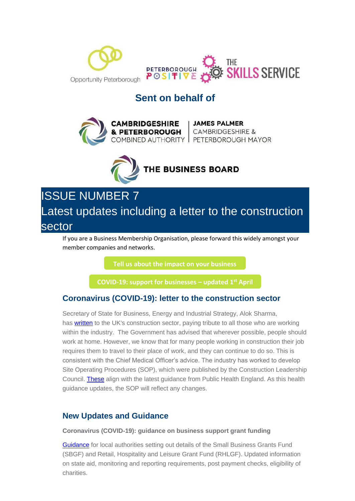

# **Sent on behalf of**





ISSUE NUMBER 7 Latest updates including a letter to the construction sector

If you are a Business Membership Organisation, please forward this widely amongst your member companies and networks.

**[Tell us about the impact on your business](https://i7.t.hubspotemail.net/e2t/c/*W5_QYjd8Ct2dXW7L6T4F39rYHN0/*W2VrCrJ79zhK9W33THgY3X7-Bc0/5/f18dQhb0SmhQ9c-kQvW6FcT5P1m4DtzW1DpP_V7x37qHW6Blzll1Qt2G2VLDpF18CSvhfW8BSny05tgcZsW8rB-lZ39vrHZN8CRB3fV9Fr1MZ_MZcRcgcmVQBZgB5wL96LW1sL3M03MybvyW28d46X63xTt7W58jb5-4K75nCW8hvFmF7NMs04W1ZJgG09dSlS6W35rgCl94-4T0W7sLptq41TlcRW3TwTqz19BjMLN1ks0KjSbGG8W3fSWNv7cvxRcVw0r2s4bQW_qW6c44wG4ftZYfW1xZQXF6KYccyW2Nnhhm49wDTzVnR3Kx5399fJW6vkjM991GYyXW92Gqh46pVBb3VtdCBh8-hSx9W7kHDsW4kVRb4W7vmVWN7tplhrW8Z1Tn-2LB2wFW1XX-rs53SyZmW6Dtps71-rs3LW1GcK6w1XcgmtW1RkvPl1vR--LW6xCzbF1H76RcW8XjHx11MjJWrVkmHmF1J7bfRVfglxL7K_fZwN4Zg5Q0fTlLHV1KH6H1KgFpqW7tKwjk83C22TW7s-rRx7Wt1K5W64Qd463N_YjpMRHx7vQJPMrW8p0dzm8v2Fl6W63lxZV77pKj1W2LdjVl5_zHMFW3bpkdc6TBvrzW45QfPl7nxyj9W6WSjYf5YtrXHN1GY8YMVMPVbVVrLq82nLhsjf6J4pCx04)**

**[COVID-19: support for businesses](https://i7.t.hubspotemail.net/e2t/c/*W5_QYjd8Ct2dXW7L6T4F39rYHN0/*W68YdTc6wKd2jW1vHfVB396T7f0/5/f18dQhb0S4017wjzHDV1x4ml5W0JNsMC7lZThZy-FW5J53lw3ldx5hMs_14zzCYCyW3dqJNy6SLzCgW1RWmMr4GRfJpW3s_zl44Pfbv-N8gsgLRb5rWGW1K-zn255_wF_W2bTxL78RvqKQW8mmHd47z9HlJW68zlpN27NYyfW6vXb-q3gJtNNW51-1n17Z3XstW7QrNmR8rkzWJW2Mxbm96GtzZ8VDcbh93KRd4xN5gnrdjg_jR-W2Xd-8j6wgQ14VFBjjv6N6PDmV1TkcZ2m_f1BN48g4HxFywSQW2zRMkB81xRFMVtP1y05mfdkSW2xNj5Q699SPZW7jdbCL6tvXX7W4skB978z0HsHW75wnw82PcnlQN3sPf2dF3v05W8SGh337xGgfnW6rcFHy19NpfdVKBkl93fddBKW4mj-By2sDHYvW7WcFDg74VY9QW2-k38b5HnqrzW41ZhV08YKtb8W3C1nV-2dQSFsW5l1rvS8GXQ6pW8jctn84lWWgtW7w1bXP84-W6cW8Y04Vn6fS-TvN6q_Yfd2GRjgW76XRGB7T0y9XW8Gz4P01YpmbhW4QlJJs2cFp-QW2yxsXs2-sl69W3w1C3G3YQ_nKW4YWW9w498vvzW2VcRcj2SC8KbW2swn723Fv70yVcwYTl3npM5DV1vM235rlPWGW7rJPX970k0C1W9c7nlw66xYKcVVdn6v9m2MdqW666LMz9175vQW8z6hFT362l_5W1LW8Nt6HWqj8103) – updated 1 st April** 

# **Coronavirus (COVID-19): letter to the construction sector**

Secretary of State for Business, Energy and Industrial Strategy, Alok Sharma, has [written](https://i7.t.hubspotemail.net/e2t/c/*W5_QYjd8Ct2dXW7L6T4F39rYHN0/*W8pLd029f9kk-W8bzz3l1-Tx820/5/f18dQhb0S64C2N1Zl-VMQ2pq3LMxVfW1RKXbx23ylvNN96bsZ5_BzzKW6Q-p6d3115CQW5sdYT06WCrRmW4tG7l78ptg5HN4RsS2ZNDjKxW52n7dl41YMrsN5t3z_h_sCRFW5XpxSz1WmsWvW2fpJZX6PQqXxW98_z2D12KmG3W80Pftn86tWjxN4tZsx2v74tQW5S9_bd3h5qFMW6T68dD3PgNkbW54BY4s1VT62JW6dF8yx67DLtPV-r1gQ52MjLmV4gxb27PSVWzW84nQd862G1tbW3z9RpL1wTvfdW2MkRQM23MJKVW1xlZRz5Kx3QqW5_xQSG7GV3sXW58MQ665Qwtl9VTyz_L7Jrrs_W5L6fsw5sqDwQW5FKsNN5cfG9YW3GZ_Ll5rSyv1W6VQn-C2595BDW5w7Wtp2Y5_1QW42Gj5W4FC2V4W7WkP4M7Mnx_KN1CdMSndqMyLW7xGF0x7y29YyN7tkTDLM3h-YN5C3Hdv-VGXLW5w8Ddq48LBHbW4_70ZC7mTX09W2YmZ9Y3-W1rgVtT0-92wPVpCW8qVYxP5QPRLZW5cLV5Z45LYmkW8zddzF6Dmj_VW40M5MK42RkzhW7-qqpx4JkmvXW3Pnk7x42qt5FVgHSP8736fwZN67-MVYT2FP-W1Sb0wP4vnL5nN9g_btmKhmlDW3kBjqq44HtZ_VvjLjn5DtG8yW614BDX2H6YyfW2pfYjq6SDQ-zW1BSwDL1VQXMcW7M_Fh26PLgLVN92DjLKDBn5zW4M7kf58VQggtW1LjB623FSB-RW1brtSs91FKJQW7xxD8822lJL_W2qh-tC6ZTYk8N489WTRWcNhkW16rJDb4RBxd3W8fXgWB6yh4zjW6LC0Pm88Xn4zW2P3Q4y60kjFXW6S3K9c2S_bQlW4PN32S72Rq05W18wwnK2b8MyGW5y8B_k7WWTkjW3lj8bz733YPQW23LDVQ7hfyWpVvkvm857p9S8W3wgdgd6_vMdwW5bv1g76FVJb0W1BnsK-2Fvr5mN16lnMM2_762N6pGzXmK_SNlVTJY3F5K4ZzYW70hqGC779M5MW86vSTJ3WLnKhW21LcmN4-NH4-N8zdjnFGrZ5LVsgb-P3yDKKWW1rnYlJ57TpDpVbKsX58GpglLW8MHf716_QXV7W782mf296ZF0hW9f5FP74QLNZCW95hzxr4HyvL8W890GXf4Cyt9kW3Ps14z18z3HhW61tDG04tG3xb131) to the UK's construction sector, paying tribute to all those who are working within the industry. The Government has advised that wherever possible, people should work at home. However, we know that for many people working in construction their job requires them to travel to their place of work, and they can continue to do so. This is consistent with the Chief Medical Officer's advice. The industry has worked to develop Site Operating Procedures (SOP), which were published by the Construction Leadership Council. **[These](https://i7.t.hubspotemail.net/e2t/c/*W5_QYjd8Ct2dXW7L6T4F39rYHN0/*W6j0Vs43VZ8jXV8VWhp7mks5C0/5/f18dQhb0S4007Bf-yPVWW4zj1MM2D0W60wHF04YrgnwW4gKgq_48H3gKW7mP5w56Tm5LRW2GP28m87Px19W8qq2RK9lDyrJW6nzyls5TDn-xN4ppjg2b5rxQW7Gs2RV28L4d-W36kGyk4zBv6wW8XbRbt8Hqq8LW48XTsJ633gZ4W4v9t373YQLzJW3szTDx7Zdg0sW8FPTZg4cs-knW5vS1px5YqYznW8-wTcb1KNWZRW1fPP3v3HpNJvW156G596yK87wW7777Yy74JTZ0W8rX9Tm30MVvxV8zG1t4kztmqW6H_yhP7YMdNKV57JW29m41gxW218R7X2_YFMlW62Qgs722Mz_1W1Hr9HZ3TWYhJW5f6s5J5SDQkmW1Q0S4N8DdJhmW7lMxM-29Tjn0W8JC_L84zLn-9W7VMvyC2-sl3BW4R1z8r8-yM5JN355K8DH_WFKW14Rrb85sV-NHW4kkxDR3BMwBTW7gTCHW61trj2N96Q5NXmg8z6N8v3Lz0J0q_-W1Qh7Xx1LlbcfVGYh6C5lTlsyW65sH9Q3RtbSGW4RYKD55gc5NlW82W7KS6sKz31W44FvSV7RXRtvN8N5Fz73HyB6W1YvqRQ4DDh2YW7xbz7K6Y4B5JVHFWhG2Fb636V6PrSw1pZfp8W7XyvcH3pLfpJW5DYSwT6T33h4N7_n3pkGr5BWW9gYf3Q64knMnW6Jc7rB4qXlm9W2y39mF3yN-qQW8-DW3T8-MDgTW71gyMd31zjWZW7R6sxV8KqY0xW3Qxhk65WR24_W4WpNwG4V3hjNW2Mmm6F77ykN4W5vgqzl7RqlstW5Y-yDD7_MG15W5pRl0T1z87fYVRt6S193G6PZW5hHjJ68JQKcZVXQz2049ZMhgW7cQCqt54t6fjW3q4Fnl6TphVjN8PThxRmS1qnN7LskB9GqbSfW3dKnc732knRHW74P5RH1YyF51W6693s-62TMhvW3C8tl78kG_CBW8CZZlB9k4p9lW85Sdwl7f-0ttW7z98jL4lPh9fW4qJ9s15Jcxv9N83Pd8pztSQFW7zPy487Y9pbs0)** align with the latest guidance from Public Health England. As this health guidance updates, the SOP will reflect any changes.

## **New Updates and Guidance**

**Coronavirus (COVID-19): guidance on business support grant funding**

[Guidance](https://i7.t.hubspotemail.net/e2t/c/*W5_QYjd8Ct2dXW7L6T4F39rYHN0/*W3XZvmV8xSy_6M4fxQcBzfrT0/5/f18dQhb0S6Pz2NjwZKMXb7f6wFWNXW5ZKdqC73jKHTW7yKyr77CS2LGW2QdS_R83P1BSVj2lRP81qnnFN1ncVYmL9-mzVCkwJs4144DhW8cw18F9cfSh0W6JXXtK5FVK4ZW7Kv-dV88rX-_W7zmCN-2hgDvVW5dVyW08SlsvwW15qq1Q80Yv6JW65Sy3C6pTfNHW8z0bPC17BfqHW147ZhN5Gfg_yW7QjJFB1DTXGqN5y0cgGNS9_sW1bZCYt7vYm88W46FSQk10kRjdN4BzBmT2G09cN6LKTr_mpjjmW2D24574x5vSvW4TZtFJ2-d91hN2kfsXVgSgpxVktgHH3WHr48W57nby17frWD6W2xwBHm54NXn7W8swn7n4c5zt2W3QC66332ymtFW5vZp4w7Msj8qW53kcWZ5vGNJ8W9bpmdv5D2bQcW2YlDzJ5-CmP0W5ZWvwR3nm2clW4vRStx1j0q6fW6KJB3R62ddyrW3LZ7Mx5Q3-tWN3-V51FMggZMW1LX4fM3Cm5gKW5XtFVQ3Z9wnsW1n87XW5DWqH9W5sJrX21H6lXnN5sWP3Gcm5ShW4ZQ1ll6GtZPKW99kdn_3XQzX7W6xzWCZ7pqxb7N80QdgxHwhrcW6ZKKyc7_sYl9W61xfCV614q9VW3hVYfg580NJ9W6hg8nL7sr8WTN6f4pr-Pj8NcW7S5qTJ32PKK1W82xkpC1BxbtQW21W9jL91kxc-W5L_CrR2TF1jTW6gbN-m20V35NVhBqvy8jHNRLW8CM2cK26YCppVBcGqM2bQWhbW6w-TSw5z2f-wW74fwR41lQbrrW7yNWXV25K8tSVz4wP34rXJslW8LxTkG4L63XQVT6F9-5VGCnkW4TNhQ68xZWdcW1b4GZQ2tLQwBW2sJ3sl97G2PVW4hd6hK7xyP6ZVR_66L4clxGbW6LY5575dGCHxW7_lRqS1T_xjBW71qDnC4r-RRMW2w0B033-R4K6W1KrlW81FKys5W4cNySf605kz4W7fGBr67SbQ3rW5Y8zbj115vfNW8W7-Mw86H3BDW22sv6y8d8-4JW4954WB2-pShXN6fqs3xH_M2TW92GgM81_TMnrW80lXsV47syt7Vkv1n58Fxm-vW1N0cnm6NF6f6W8c-XGv57LShXN7TJ8k3r4DHTW6MnqY_7SJHlPW2jgKSJ89-nw0W4Z5yZB3pvp3GW226q9g8Jh0qGW3p-b8j8Dx9yNW86ZycM3s3K3KW3W6N_48FY0f4131) for local authorities setting out details of the Small Business Grants Fund (SBGF) and Retail, Hospitality and Leisure Grant Fund (RHLGF). Updated information on state aid, monitoring and reporting requirements, post payment checks, eligibility of charities.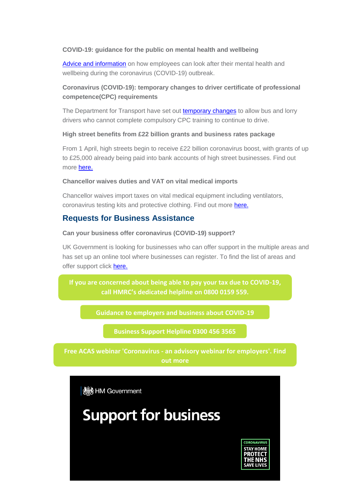#### **COVID-19: guidance for the public on mental health and wellbeing**

[Advice and information](https://i7.t.hubspotemail.net/e2t/c/*W5_QYjd8Ct2dXW7L6T4F39rYHN0/*W32ptHv44XmFlW4kSByX67_3vT0/5/f18dQhb0S3-R7rCRgkVV-dhL47t26SW2xH-4d73jGStW4fPZzm3hHhTKW7Cgy385CNZxyW5_KqPG3bfVJsW7QngFq2VbwTVW1DM0ym6r1P48W2q5TZK8RN7YxVq92XJ8_8dDyW11Z-TR1LH1JxW89MKNP2hk5G1W78DCsc18FF7rW8mNgbL4lb_9WW3NQv4c5mYQL5W428-KT3zLkm_W59wf1759TJcMW6NZp8-2NglsBN4wlH37f87Q_VFZWC03yXZY3W3zWkpP2ZN2cmN75_qvBjbHCLW901ylk6-2h3WW8mCf838FmgkhW5wRr5f7mFJvhW8L-6L98qm5PZVZh3q27sYkCXW3w1zby4Km0q1W4lNLNQ45yt-lW8rFb-S3rNP8lW20ysc_63zBCkW30Phsv3jF-BlW1mtSdf67FHRnW6KQB5j72vVgcW6N6yMJ740cTvW2bWwVc6QFTPBW8lVf3D3cW3yWW7ZtZTZ2B6C2vW49jzYL4fh2T6W4gQ2f01ltzmNW7Xqfp25B-gBCW4pV_Cd6f155lVgN91S8rRk0dW5QwWyG88b52wW7bBf_94cdrjxW4cHvX06YHNZbW5B79DV67QyjmW8d8vSv7Jm30hW887lcQ4-RZFMW1vmNJY4z26q6W4V9MSl47BCQMW3r-JQV73gNsSW4cCNkL88-twKW8btHqw8gm1JKW10RS5_4nGwl1W47n1M63xS8SzW8-Q6Jl5Z3SxnW3GDM132kXNSCW8WzQyV6mtRLGW7X-ZNj5-l4mhW8HZqH65nkLqxW4Jcg3S66zzWPW3ZBw-y28dFQ8W1G3b6p6WhH1NW6bbhLV5XZdwjVW83zW8vzMZMW5j8Wpb5VW9wKW68l3P63k2sKzW33gd6Q8W_zvVW2T4GSb2FwKN2W8L8TLZ1BXbv2W60vcJk3H2sjWN16tV4PfcN7hW1P6Mgq15FyXnW6k1XRD2scBk2W3-j85y2fg_M_Vwqfft9c15bgW12D8RB6NrFDYW15hyXw2MCcLtW3ZYh-63SmFTlV12TMN7Fld06W6p-vJY6y-mFWW7YB-SP9gLvPhW1091l06Hyd1tW39QCcm2zcNxMW46MPTl8QYMZNW4ZFRHP6LZcc4W991L-j4C95h-W44yv6L7yxCWWW5B1v051JS8n4MJJzSYyfN6cW48PlsY82Ml8_W2_DzpN8L2WH0W95dBxQ4FzYQJW7zGRML9k4n91W1srcH98tqdGtW1s9J8G8W3NRqW8ML5-n2JQtgHW18pFh8985ZT8103) on how employees can look after their mental health and wellbeing during the coronavirus (COVID-19) outbreak.

### **Coronavirus (COVID-19): temporary changes to driver certificate of professional competence(CPC) requirements**

The Department for Transport have set out **[temporary changes](https://i7.t.hubspotemail.net/e2t/c/*W5_QYjd8Ct2dXW7L6T4F39rYHN0/*VT-vTg5N-mypW1Dv1kv523N-J0/5/f18dQhb0S4002MQydSVWnXqd2XVFjJW5jqXmd3d8K97N1qbgv2CpYT0W4cKC6Z64ZKvKW1N5RGP4d1HKQW7tJt2d8k-SLzN4k8rT4DK3BRV_JS7f1LCr0jW4_N3PX6cwthXW2Vpjmf2dRGQLW932swy7W0HhtW92crlx7xkN4BW11yznZ1FPdM_W4F4wrD5Wh1Z5W26hJR44jSvnCVh6kp95YH0CMW5kbVxg7KSQGPW2R9p9k1nDqDrN89wqv5dyFYsW8R5zjP2Nnn55W7Z_l552FqQTzVHS7yS3WcyrnW7DqHyx3FpFY0W2vpcRc5jyFM0W6DQ0FL6F7xJLW7wGpXQ656nmhW3VPX7M4bHHypW16jDSh6F_FZQV4fM3j6NQJ3KW4Ky2gn4VW1yrW8-csXC1Lh50nW2S4PKJ4PPHB0W3B0Jhs5SSnXSW2ssky12M7HGgW68lF7h7KxybMW3bdPTH8TLhC5W2hbWl88fQsD4W33ZtWy3FF92mW7DwmVq5YwCFrW61H50G4lxcq7W9dFT694lzBNQVPt8tC1-2QXLW8_d2KL69Kz32N1RqxYFszgFTW3vc4DQ5V-_3SW94bzf-6QNMz2W4KRtJL8z2CFdW1Pb-xg6_5hrKN2qLNrdpP3SzW6Q97sP6CcpGLVQMJcg4Zt3NqN7_cTDD45wBrW3lMqSq7zxNxhW5w7XWh3PXL89W5mk3D538VtM-N5ty47GJy5HbVDrZpJ44Ty_DW41LjCh2Cq-qFV2tXSc1xQ9RlW6F1b4J64kGldW3Lvc4-2tdcq6V_ZC5T6mfp3VN6bWDGNsXTFsN2P3kflk2Xd2W1XqJTH8w2HBCW2dKBwg3fvVNBW2jZKgq83cRgBW97vtNX13NvRvW4mtRNw5t0f-BW1L5jmX6bXdRHW3VVQnF3nhLpkN1PhFBdBS4GpW7n4_Qb5zpSz3V1Y6Xq4Mkt02W1X-8KF5kjN59W3Zw0jj85x1k3N8rM299TTtC8W998yb46YNYK_W6TCh312kWzYlW6Kj2VQ953dfpW1MDLch2XQWPcVQPVYY7Fp18-0)** to allow bus and lorry drivers who cannot complete compulsory CPC training to continue to drive.

#### **High street benefits from £22 billion grants and business rates package**

From 1 April, high streets begin to receive £22 billion coronavirus boost, with grants of up to £25,000 already being paid into bank accounts of high street businesses. Find out more [here.](https://i7.t.hubspotemail.net/e2t/c/*W5_QYjd8Ct2dXW7L6T4F39rYHN0/*W68tNcY5yjxj9N11CWYprdcbk0/5/f18dQhb0S65Q7rD5KWMM_v3lVnYxqN1T4hGGwW50NW7K7NnB7dvNxzW1l97Nt209D8pVjm7CN4bDH-7W4d2jKp2jHNc0W6HSQ-k5V61mqW6MGMfp74kvxWW4bHTYd3PtG0gW33NJWQ5KWQc1W95LLj75tcSvQW81W4jz3w6P9TW7Ztz6K3-xkdMW8MmJzh5yNcQgW7mzx9b84vP_pN5THKhgRfdHGW5XV1sR5p3xnwW2FQJbX4_kTTlW8zF8rk5zbMrMVpfW6l8VT9j9W7mz8D55-hLF2W3K_CLH7JXWwBW13J8Fh5Q0GWkW4gxv6846T-NDW7JHn0Q6kPKYkVwWl6F7LN-TZW4nzrvx1-BYLPW38VR908b0Zq3N8RHg6_L-71WN59Z8q6nqPc2W7rR_Fk1SQ2xxW5FJmdF2nwMjTN6pHzqxQtc_MW56ygBr6t01JvW4B5nMx2ydpSHVp09yS2T6pjgW3n5vfm6p6k_XW71pG4s1xtTh4W1-M8Pz4h00T8W7XqJ9W3YDVjxW5X02zw3RVW0QVMrPCJ4t6MPYW1hjF7j3z4j51W6StnM9602p0kW7jx5jg1BrrBGW7xP3NB5WjngYW3Rgqxw1D-m_JW5ZfqGb85XdZbW6PqHHB2vqBKGN4l_JK1GjhBRW7JfSLm74SDQsW83Pw-C54gQH2W3-lx_t2F0hWbW2mgj0L906193W21y91q81zhWvW4ZrYtp5FskkfW5GsFsm54Ffv5W7Xt5GJ637ld2W2fh6Dk2ypKL0W2zSWfZ7__RGXW8d1p901W-WdSVWPRbW54TK3GW4B-7Rg2NnvZlW74txkf8_6v1kW64qQZh6pkQntW4wLsWk2MYkNkW3kbbQj4NSC9xVFvQgN1yzXL-W2FsxRv2Dt9gCN7M43KmByC1MW3ZLdl-7Rmf24W9gNdYY7qMKT7W17WkN74QlrSyW8XHM462pbl5fW2mN4RH2z7397VhQYB16WvfdLW64MMJg3JNdRVW3P4qrP4tJ3sWW9gRdkt5QcpvRW5GzxQq8mFdBDW6q1vk93P7T1LW4qG5Kd4FXtsGW2s_2Zb17TTwrf28gMl403)

#### **Chancellor waives duties and VAT on vital medical imports**

Chancellor waives import taxes on vital medical equipment including ventilators, coronavirus testing kits and protective clothing. Find out more [here.](https://i7.t.hubspotemail.net/e2t/c/*W5_QYjd8Ct2dXW7L6T4F39rYHN0/*W6lmGKL3PV6YqW8k7DrW70CCnc0/5/f18dQhb0S40073VH4-W12PgzM3J-mTMVb_csj3KNDd0W6H29zx7LLDCpW6RRyZr1_62WlW7ZrT0s1dGVVJW6WRB365pcfgfVxlQMj8KfwrbW1fpgLP1LtbNRW3w9hLZ8Bd2TwN25Nsd1tw8Z1W9c5STS6-6lP3W6_hGG35DX715W9f2-gB8CKNXkW52jrdG4bWPpjW9f1bRs3KlptPW8y4K-Q7-lJX7W13T7TX22qptYN3WZC8Yb8WhqW6SR4BF8LCQCXVHDsKJ7-KcfsW7YRnh96XGLyDW3WxWLG2NnBmHW6kKQXF8YKtxsW2MFJLr8PRqszW65SN6S2W-1z0V_2Y_T57RRQkW7_7Dlj1Gp0VvW8y-rFC6WmnHzW8RlMPd3791CVW6M6wbS8TY0MxW80TGG61v9YFbW4xBH7p1jdG4kW6ncJMC7VDffMN5GsHt4Yv8c7N8rngJDTDz85W4CHBY73vcNGDW1lLTSw6ZphRlW2TXLB54XcGXwN3qgKzkp4B73W4CGjs546MRZzW3LFtKX6YBbZPVcHKqD8vXkZhW2sHX9y4_JxckN7k0kVWbJPdSW6KCM3P2SL_M4W5v1mWQ43fv20W3ltyfF7zhm6zW6Hhsz663k6gfW8GGPTK5cDTbsW2jzx581c2BKQV9ML_N1_fxfmW6D53Pd4ynW0tN7Zd76m9dXcXW7MS-cy3W8jkwW7fsM9938pqgrN7ycrhVpjPLbVY33yn4wqNy2W2FQY1V5clDydW4vG_9z2Jp7ZBVSlzSt6MQjQFW48MNRg57-CmmW1FPJdM61THV6MDHDWFp-df5W1lWKGr6B7d_gW4syLWS19mss_W7pGKFZ145w8pW7xwT1K4qmZgwW56N7VF3CgFh3W5jfl_R3ThDPwW8VX9WT1GdhwbW6Rnh575Rgyp5W6qdSd391K7H6W5Wyd1G77m993W8GrNvr5qhSQ8N5TBtfsHyNRZW56fzJw60GYqFW45cZDw7QXGycW6YJ2fx4xKzFjN247_fR2by_ZW64QGKd2ZqNJYW99T21m3qHPcfW5vT88g7xRqcjW5C5Bcx5w1LCyW4QkZjF5dmd29W3hmwJd994TwKW5L9CKD84sGkhW3TnYh531f5qFW5T0CrT2zMsjTW8jSGTx4z4cXLW4nDTkp7Dk_rLW4wyNd99jTgLyW9m49kJ4G2y94W9f9M6G1LKxMQW7BCdhW4Z5w1pW8W3L1C17zHNnW2GFY1m2jXHrdf7ft2RM03)

### **Requests for Business Assistance**

#### **Can your business offer coronavirus (COVID-19) support?**

UK Government is looking for businesses who can offer support in the multiple areas and has set up an online tool where businesses can register. To find the list of areas and offer support click [here.](https://i7.t.hubspotemail.net/e2t/c/*W5_QYjd8Ct2dXW7L6T4F39rYHN0/*W4QlRF-5p-Y5sVg18Qt5TNnFg0/5/f18dQhb0S3-R2N39hbVVZw172nnlhTW3Gt3yB11NNyXW61cwsJ1txBW3W6BKRr951gVGGW1ls-3w40X84FN6NBQnMzHNc7W6lN6V25V61mqW6MGMgG72mfWvW58hMWQ2YKvGfW83hLnR8sLTZ5W7QZvJl6z3dqJW8HWrW76TP4xNW1v4D6-8PxNpSW3nrJqW66ZtKdN4lCJDSbQlJ9W2Jz_NC20m8rdN8XMbXPPlvnRW2KxW1261wY2GW3ldD306rsnkFW2cyPWT31q5W0W48_qPf1l9M42W51t67J6yVspCW1p6pVm7ygL_7W3RYSBk17vhR6W5Zh1fl30G5_0W20kSz_1wxp-PW5lWlWK1qSnSwVz_x4k5MKz-tT4czN6QGz--W4KPmR84r6PP-W5XGNKg71nVJZW751CTB3BnyCsW6vhNjz77pY9tW1j1qpM5mFF6dW6ZKH965_TR0cW4P_M9t8YxdwvW60Wcsw7p5bY4W5JkBD51rYNC3W1djShH4z4QrTW25DCMZ1ghp_5W5-L1B02H_xj5W84DVq31bfPDTW4w8tRG2_BfQRW3c0QGQ74SDQMW83ysPV1KR0XFW48fGM_52954kW1FQqLW2GR-psW1HtXKG8vPzkjW7nwM6D77_RDFW7dv2WY48792wW3CZ4652qn6_wW8rW8F56HhRLwW13qLxk8BWWZwW3nnn2F1cqz89W2ms8qM5D9FCsW3Dzbxv6QM_dtW1pRHHZ908_tCW5D4gdt7ZxqvWW7Ks63t7ZhhKYW7sK7j-3547Q7W2VCBkl2_CVC8W5N44FF3LtMFpW733qCz9cs0xKW4ybCdy8XdtXPW5yC-N-7t_XSZW8QHrxz4SBlJGW4PCxRG6fV57vN4KSQQsn-4jZVW1W9F2xPjBXW5JfZLN7k8nNLW8rBNNN7VV4hdW6-QqZ58_bn-BW5C-sN989dcVmW972WSX3N3XpXW2W6bsQ4m-J4WW5JJdW71wbvMRf5DT-tP04)

**[If you are concerned about being able to pay your tax due to COVID-19,](https://outlook.office365.com/mail/inbox/id/AAQkADM2NDBhYjY1LTRiMzMtNDZjNC1iYWNlLWZkMTYxNTVjZDk0OQAQADLYQDfoAJZPpjdoSTyrBcY%3D#x_x_x_x_top)  [call HMRC's dedicated helpline on 0800 0159 559.](https://outlook.office365.com/mail/inbox/id/AAQkADM2NDBhYjY1LTRiMzMtNDZjNC1iYWNlLWZkMTYxNTVjZDk0OQAQADLYQDfoAJZPpjdoSTyrBcY%3D#x_x_x_x_top)**

**[Guidance to employers and business about COVID-19](https://i7.t.hubspotemail.net/e2t/c/*W5_QYjd8Ct2dXW7L6T4F39rYHN0/*W2wZFX92RwXKYW18fZjP1CxtR40/5/f18dQhb0S3-S2p37KMVN2pjW2_XGfVW3GtJgl3d8DZ7W22dcbQ2r1x2ZW3K5X7D6kp2h7VjXVx33H7MzPW5J0ybR5QbCFjVmcQm12nhvZXW8cvCwd6VVtrvW6VVx687rg2cpW657CWG9l__kJW8SdNC57ZyrQZW99HcFS8SpShSN85sFgctyYBdW9cGrZm5txSdXW7Cjy2X52SScyW7MVfD21WmcwNW1S7QF-1B9gQFN77RRbxJ_7sdW3w-WSx2Fm2TsN2mftn5g7884W4BMKn479M1W-W3T0WqK4qP3xCW7LrzV13Q2x27N96cxV6V-kp7W15MpBJ1vNpGVN53zpn64TgbtW3xC1Yr1MnPr2W1Xn0Sr7-Py7vW1ywSG76qHvmDW3rMt2m5LZXvcW6vqTcP410fHlW11BhqB93lXSnW9fyr9-4L4jllW2C6JRc6r9NthW8ZvQq5721y7TW3PLwsC6tR3mxN423pZGMXy-8W8H5dsD5bhJLBW99b4XN7J_STwW4jVGZM3Plj2DW6Q77hB1_HpH2MKR-5jynLt2W8GtHt022LtfpW6stX9L7rG6g5VWMDrX3M_HxKN6clCfBrynGQN1plPbZvJ0syW964WF22kBbLTW1SWQHj5SZ7gyN1zf5TF96yP0W7QCYXS6LsnyqW8pCR196pP1_SW6d48hm4pJw5rW8sV-635tXQfJN17Gb_9RQCGWN49d1nY6RLQkf20dGcF03)**

**[Business Support Helpline 0300 456 3565](https://outlook.office365.com/mail/inbox/id/AAQkADM2NDBhYjY1LTRiMzMtNDZjNC1iYWNlLWZkMTYxNTVjZDk0OQAQADLYQDfoAJZPpjdoSTyrBcY%3D#x_x_x_x_top)**

**Free ACAS webinar 'Coronavirus - [an advisory webinar for employers'. Find](https://i7.t.hubspotemail.net/e2t/c/*W5_QYjd8Ct2dXW7L6T4F39rYHN0/*W4rR4kj8D5qK0W32hlJ43DVvp90/5/f18dQhb0S8379dsSx4N7_GGfPHyjJqVRJnvl3N1zG-W3hHhcf5Cgxh0VnQ9Qq8--HBkW8ZyBPZ568jySW7KdRzh8ZyWKzW1SPFjJ2MznrNN5nbq6BGXpVfW3-jMhD1Sj2MJW1Gsbnx5KnfVpW8W56w94M5FVPW8hvFmF7NMs04W1ZJgG09dSlS6W35rgCl94-4T0W7sLptq41TlcRW3TwTqC4H-7kWW2kGjZw6qQkLPW9bMlrm94pXZFW3t8wsr2DzCtRW1yBQtD8t2QQ4N6wlf3xrHs76W2vf_q-6KSfqnW72Msk-1v55YxW7ss9pD5g1g0MW5Shk167qbJFZW5gcY9K2kKYdlW5L5g-Q5ydG64W12-sDn2cP-vwW9kt-vq6C-HDJW6ygfh6683slGN7rhPzQJLkncW4brSM08j2GyqW33tJzx4b2cpzW2M3LQ98hdk2BVBrWKx75_cyTN71yxz-45gmWW5hs1HL3_5VyxW2GtGMd3ygvH8W8c3hVG1SfhjNW7tR7B_2RgspQW7tpkhj2MDdRqW2KZnw72zWRQ8W2p3MtR2-sBPtW4DqM1j41XQLWN4tJ7rlVpdDqW8mhVQY7_dJxgW8-jZQ0115Dm-W5yKwqS6WXbPLW3XCKVZ6QGQwKW1Slvpc2pglVTW6vc-Z61VLL99f5ZDtxR04)** 

**機**HM Government



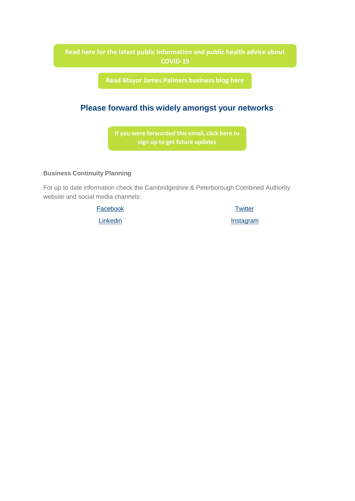### **[Read here for the latest public information and public health advice about](https://i7.t.hubspotemail.net/e2t/c/*W5_QYjd8Ct2dXW7L6T4F39rYHN0/*V3Bgp84CTmC1W4qJbqf88thKQ0/5/f18dQhb0S40073FkvWN12PfV9Ylhz7W2twpt_3xy671W5ygs5H2p6k0tN8xrZdkZN9Y9W6Wpgp86_ctzfW1Ys88D9ff8h9N8JXznRDJKRtW4Qc53n3w9pmgW8Bd2Tw3rwfQMW8cQcrv4F4y33W7sH_p01TCb6bW5W6p-B3RCKKvW8q-fz63TK6BwW2GmPt820L3K6W7TLrpx3P1n7gN4PtN3H_QkjKW8jgH_c2vJHQLN2mKCcTz7f56V5ryM52FC4NhW5C6w2k5gs689W7sF-jD6K_69HW4ZkgQM77l9tyW2_-myz2L3f7jN7rYDPHM84THN13PsRbsyTXTW30zXRH57X5BWW3bKXxT49KB0NW7CjgBm1LTz4yW2T_f9V2FGqlKW90lggl13yRVSW93-cQM9ckzvFW50mWFG1FQMtyW6KwJLv4sTYjpW1vBC1b7gJgD-W794q2C846pzJW289nzQ937WXlW26W-TY8rHXqKVrhxS54lMT4TW6TbLfn3Z6HBSW4Vbxsr4VfscSW4B43xP6R22bGW53kX1J8GnhCKN1YmJXtfM35DW4s8-wQ3QXXmPW8F6Wj21wX6nvW3NGKZT4lVd3HMndFd_8cnhKW5YZ0767w-M_mW9dYJ9w6SYmBZW8rz6_X3c7rWMW96f0zl6fmZQGW9k1T0V5S5HRJW8Bd7LN5R4pzGW7_5jKk5qRzfPW85jv5L7gG7Gv0)  COVID-19**

**[Read Mayor James Palmers business blog here](https://i7.t.hubspotemail.net/e2t/c/*W5_QYjd8Ct2dXW7L6T4F39rYHN0/*W7-sDFB1xVXC8W2BrMdM8ZXlW50/5/f18dQhb0S3_-7Bf-DYW12NBkd5VRkwWW5WdPLB30CkrHW3-xQ7M5G_6myW6lXjvN85sxYWV882B08LTz3tW1WjwD23GdxnjW4qDPR34nWl09W2bsgkg8wh372W2v4ZDG4QNnQPW2fyFgG92hbQSW8Mhq8y4qyhhJW81qhP9769gDKV-76z66-czsVW6nl7wM3BVzDrN2QGKRC31nK8VCBtVT8mW_y1VCwpFT8P8XdXW2-0Rs261_R-tW2m73Fm79vs6HW70_9Mv4MV1GrW5KnlY41Fc5KyW8Fqm865kSpGBW2Pf67C58pgkvW5DkDJb4yjQ70W6Fh8Km3x9cpjW19gzlF74r0LtN8NZ8LgsJXrzW5pSfM02R0k-SW69xrhn8VJqDxW5zk4PT92X04_W1r5FCq7gm5yJW1vsJj56Skn7XW7s4yzw4k3MP9W6KWRk86tMXkRW56bDVp6lg72qW4fNBcZ4M9qhqW2NXDwb1jfXlTW8DNKGw7kjHdlW2hhNVX16ptCLW8Jv5qm5pzNyDW6C5Nqg6gzDt3W6y12qt1p6qgbW8flYQ58YZ4tlW8LPnpW1MX4-yW7LP7Nh2slN3tW1tjxt9162dT7W2Kz3-q80d3pWW2lSBYr1txnl_W3m86--86HvF7W6JTKSt5RJwW_W9b_Ccy18sKqTW6JfZ5f6-S5fhW9jB1nm8Z7zrJW3PDQsX6HtGm4W5s-j2V70GdG7102)**

# **Please forward this widely amongst your networks**

**If you were [forwarded](https://mills.cmail20.com/t/d-l-mjhiyn-jhudhyduuk-a/) this email, click here to sign up to get future updates**

#### **Business Continuity Planning**

For up to date information check the Cambridgeshire & Peterborough Combined Authority website and social media channels:

[Facebook](https://hes32-ctp.trendmicro.com/wis/clicktime/v1/query?url=https%3a%2f%2fmills.cmail20.com%2ft%2fd%2dl%2dmjiykz%2djkuyiitjn%2do%2f&umid=07b3982b-81e8-4529-b62a-5a2d548cf59c&auth=032509ba71aa4d03d13cdc6bff503ed53ba3f200-d37c8a08384ac5c8c3b8dd12d05bd53ba0876385)

**[Linkedin](https://hes32-ctp.trendmicro.com/wis/clicktime/v1/query?url=https%3a%2f%2fmills.cmail20.com%2ft%2fd%2dl%2dmjiykz%2djkuyiitjn%2db%2f&umid=07b3982b-81e8-4529-b62a-5a2d548cf59c&auth=032509ba71aa4d03d13cdc6bff503ed53ba3f200-4b14f90dc48327a8186d68db7a002fdd444b32b8)** 

**[Twitter](https://hes32-ctp.trendmicro.com/wis/clicktime/v1/query?url=https%3a%2f%2fmills.cmail20.com%2ft%2fd%2dl%2dmjiykz%2djkuyiitjn%2dn%2f&umid=07b3982b-81e8-4529-b62a-5a2d548cf59c&auth=032509ba71aa4d03d13cdc6bff503ed53ba3f200-76b1ceb04a4eb53e4e0f5099e125baf186bdce78)** 

**Instagram**